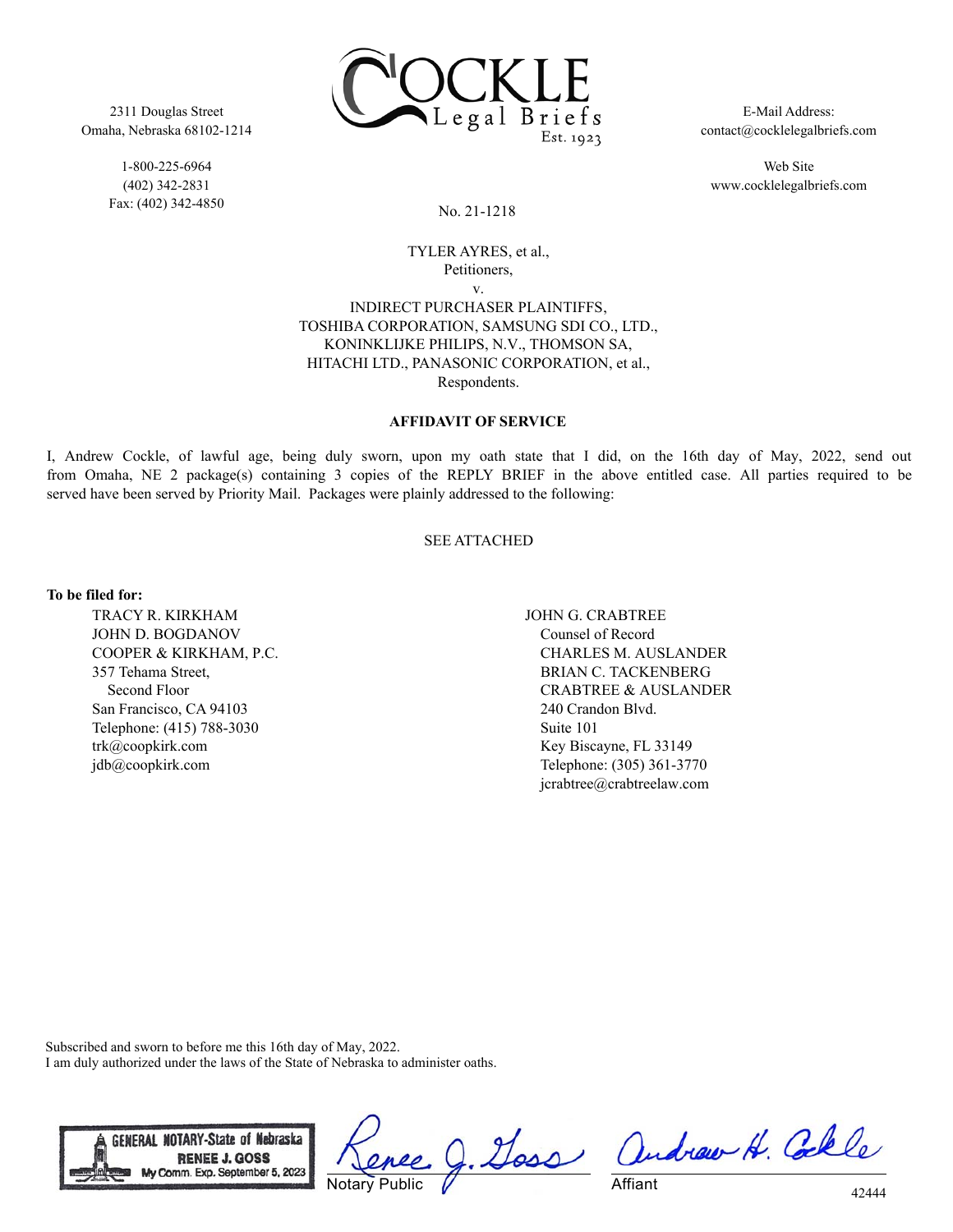

2311 Douglas Street Omaha, Nebraska 68102-1214

> 1-800-225-6964 (402) 342-2831 Fax: (402) 342-4850

E-Mail Address: contact@cocklelegalbriefs.com

Web Site www.cocklelegalbriefs.com

## No. 21-1218

# TYLER AYRES, et al., Petitioners, v. INDIRECT PURCHASER PLAINTIFFS, TOSHIBA CORPORATION, SAMSUNG SDI CO., LTD., KONINKLIJKE PHILIPS, N.V., THOMSON SA, HITACHI LTD., PANASONIC CORPORATION, et al., Respondents.

## **AFFIDAVIT OF SERVICE**

I, Andrew Cockle, of lawful age, being duly sworn, upon my oath state that I did, on the 16th day of May, 2022, send out from Omaha, NE 2 package(s) containing 3 copies of the REPLY BRIEF in the above entitled case. All parties required to be served have been served by Priority Mail. Packages were plainly addressed to the following:

## SEE ATTACHED

#### **To be filed for:**

TRACY R. KIRKHAM JOHN D. BOGDANOV COOPER & KIRKHAM, P.C. 357 Tehama Street, Second Floor San Francisco, CA 94103 Telephone: (415) 788-3030 trk@coopkirk.com jdb@coopkirk.com

JOHN G. CRABTREE Counsel of Record CHARLES M. AUSLANDER BRIAN C. TACKENBERG CRABTREE & AUSLANDER 240 Crandon Blvd. Suite 101 Key Biscayne, FL 33149 Telephone: (305) 361-3770 jcrabtree@crabtreelaw.com

Subscribed and sworn to before me this 16th day of May, 2022. I am duly authorized under the laws of the State of Nebraska to administer oaths.



Notary Public

g. Goss andrew H. Colle